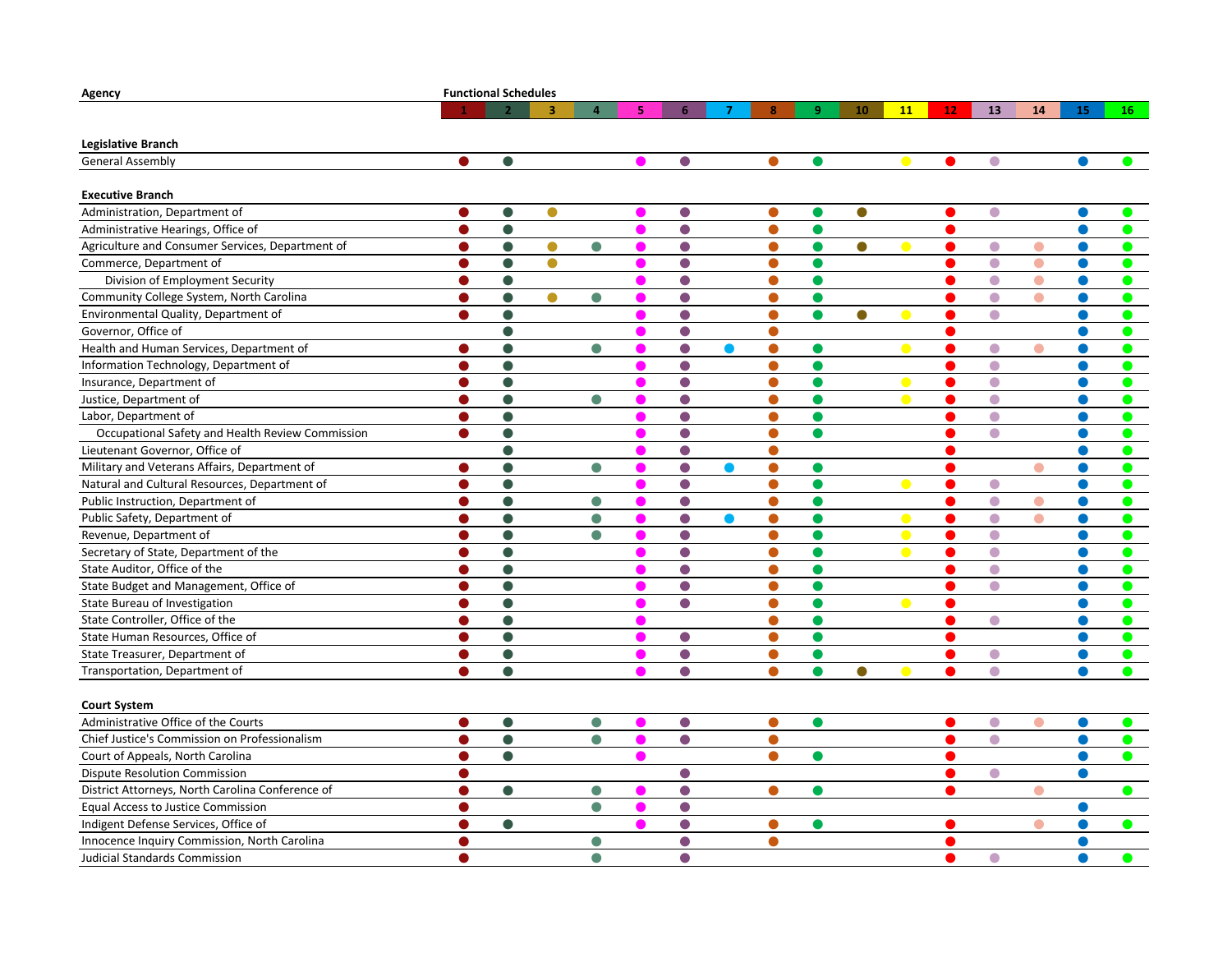| Agency                                           | <b>Functional Schedules</b> |           |           |                |    |            |   |           |    |           |            |    |           |           |           |           |
|--------------------------------------------------|-----------------------------|-----------|-----------|----------------|----|------------|---|-----------|----|-----------|------------|----|-----------|-----------|-----------|-----------|
|                                                  |                             |           | 3         | $\overline{a}$ | 5. | 6          | 7 | 8         | -9 | 10        | <b>11</b>  | 12 | 13        | 14        | 15        | 16        |
| Legislative Branch                               |                             |           |           |                |    |            |   |           |    |           |            |    |           |           |           |           |
| <b>General Assembly</b>                          | $\bullet$                   | $\bullet$ |           |                |    | $\bullet$  |   | $\bullet$ | O  |           |            | O  | $\bullet$ |           |           |           |
|                                                  |                             |           |           |                |    |            |   |           |    |           |            |    |           |           |           |           |
| <b>Executive Branch</b>                          |                             |           |           |                |    |            |   |           |    |           |            |    |           |           |           |           |
| Administration, Department of                    |                             | $\bullet$ |           |                |    | $\bullet$  |   | $\bullet$ |    | $\bullet$ |            |    | $\bullet$ |           |           |           |
| Administrative Hearings, Office of               | $\bullet$                   | $\bullet$ |           |                |    | $\bullet$  |   | $\bullet$ | Q  |           |            | O  |           |           |           |           |
| Agriculture and Consumer Services, Department of | ●                           | $\bullet$ | $\bullet$ | O              |    | $\bullet$  |   | $\bullet$ |    | 0         |            | œ  | $\bullet$ |           |           |           |
| Commerce, Department of                          | ●                           | $\bullet$ | $\bullet$ |                |    | $\bullet$  |   | $\bullet$ | Q  |           |            |    | $\bullet$ | $\bullet$ |           | $\bullet$ |
| Division of Employment Security                  | ●                           | $\bullet$ |           |                |    | $\bullet$  |   | $\bullet$ | O  |           |            |    | $\bullet$ | $\bullet$ |           | $\bullet$ |
| Community College System, North Carolina         |                             | $\bullet$ | $\bullet$ | $\bullet$      |    | $\bullet$  |   | ●         | O  |           |            |    | $\bullet$ | e         |           | ●         |
| Environmental Quality, Department of             | ●                           | $\bullet$ |           |                |    | $\bullet$  |   | $\bullet$ | O  | $\bullet$ |            |    | $\bullet$ |           |           | $\bullet$ |
| Governor, Office of                              |                             | $\bullet$ |           |                |    | $\bullet$  |   | $\bullet$ |    |           |            |    |           |           |           | $\bullet$ |
| Health and Human Services, Department of         |                             |           |           | $\bullet$      |    | $\bullet$  |   | $\bullet$ |    |           |            |    | $\bullet$ |           |           |           |
| Information Technology, Department of            | 0                           | $\bullet$ |           |                |    | $\bullet$  |   | $\bullet$ |    |           |            |    | $\bullet$ |           |           | 0         |
| Insurance, Department of                         | ●                           | $\bullet$ |           |                |    | $\bullet$  |   | $\bullet$ |    |           |            |    | $\bullet$ |           |           |           |
| Justice, Department of                           | 0                           | $\bullet$ |           | $\bullet$      |    | $\bullet$  |   | $\bullet$ | Q  |           | $\sqrt{2}$ | œ  | $\bullet$ |           |           |           |
| Labor, Department of                             | œ                           | $\bullet$ |           |                |    | $\bullet$  |   | ●         | ●  |           |            |    | $\bullet$ |           |           | ●         |
| Occupational Safety and Health Review Commission | a s                         | $\bullet$ |           |                |    | $\bullet$  |   | ●         |    |           |            |    | $\bullet$ |           |           |           |
| Lieutenant Governor, Office of                   |                             | $\bullet$ |           |                |    | $\bullet$  |   | $\bullet$ |    |           |            |    |           |           |           |           |
| Military and Veterans Affairs, Department of     |                             | $\bullet$ |           | $\bullet$      |    | $\bullet$  |   | $\bullet$ | c  |           |            |    |           |           |           |           |
| Natural and Cultural Resources, Department of    | ●                           | $\bullet$ |           |                |    | $\bullet$  |   | $\bullet$ | ●  |           |            |    | $\bullet$ |           |           | ●         |
| Public Instruction, Department of                |                             | $\bullet$ |           | $\bullet$      |    | $\bullet$  |   | $\bullet$ |    |           |            |    | $\bullet$ | $\bullet$ |           |           |
| Public Safety, Department of                     |                             | 0         |           | o              |    | $\bullet$  |   | 0         |    |           |            |    | ●         |           |           |           |
| Revenue, Department of                           | O                           | $\bullet$ |           | ●              |    | $\bullet$  |   | $\bullet$ |    |           |            |    | $\bullet$ |           |           |           |
| Secretary of State, Department of the            | O                           | $\bullet$ |           |                |    | $\bullet$  |   | $\bullet$ | O  |           | <b>COL</b> | o  | $\bullet$ |           |           |           |
| State Auditor, Office of the                     |                             |           |           |                |    | $\bigcirc$ |   | $\bullet$ |    |           |            |    | $\bullet$ |           |           |           |
| State Budget and Management, Office of           | œ                           | $\bullet$ |           |                |    | $\bullet$  |   | ●         |    |           |            |    | $\bullet$ |           |           | O         |
| State Bureau of Investigation                    | ●                           | $\bullet$ |           |                |    | $\bullet$  |   | $\bullet$ |    |           |            | O  |           |           |           |           |
| State Controller, Office of the                  | 0                           | $\bullet$ |           |                |    |            |   | $\bullet$ | Q  |           |            | œ  | $\bullet$ |           |           |           |
| State Human Resources, Office of                 | ●                           | $\bullet$ |           |                |    | $\bullet$  |   | $\bullet$ | Q  |           |            |    |           |           |           | ●         |
| State Treasurer, Department of                   | œ                           | $\bullet$ |           |                |    | $\bullet$  |   | ●         |    |           |            |    | $\bullet$ |           |           | $\bullet$ |
| Transportation, Department of                    | $\bullet$                   | $\bullet$ |           |                |    | $\bullet$  |   | $\bullet$ | Q  | $\bullet$ |            |    | $\bullet$ |           |           | $\bullet$ |
|                                                  |                             |           |           |                |    |            |   |           |    |           |            |    |           |           |           |           |
| <b>Court System</b>                              |                             |           |           |                |    |            |   |           |    |           |            |    |           |           |           |           |
| Administrative Office of the Courts              | $\bullet$                   | $\bullet$ |           | $\bullet$      |    | $\bullet$  |   | $\bullet$ | ●  |           |            |    | $\bullet$ | $\bullet$ | $\bullet$ |           |
| Chief Justice's Commission on Professionalism    | O                           | $\bullet$ |           | 0              |    | $\bullet$  |   | $\bullet$ |    |           |            |    | $\bullet$ |           |           |           |
| Court of Appeals, North Carolina                 | ●                           | $\bullet$ |           |                |    |            |   | $\bullet$ |    |           |            |    |           |           |           | $\bullet$ |
| <b>Dispute Resolution Commission</b>             | Δ                           |           |           |                |    | $\bullet$  |   |           |    |           |            |    | $\bullet$ |           | ●         |           |
| District Attorneys, North Carolina Conference of | Δ                           | $\bullet$ |           | $\bullet$      |    | $\bullet$  |   | $\bullet$ |    |           |            |    |           | O         |           | $\bullet$ |
| <b>Equal Access to Justice Commission</b>        | œ                           |           |           | $\bullet$      |    | $\bullet$  |   |           |    |           |            |    |           |           |           |           |
| Indigent Defense Services, Office of             | 0                           | $\bullet$ |           |                |    | $\bullet$  |   | $\bullet$ |    |           |            |    |           |           |           |           |
| Innocence Inquiry Commission, North Carolina     | ●                           |           |           | $\bullet$      |    | $\bullet$  |   | $\bullet$ |    |           |            |    |           |           |           |           |
| <b>Judicial Standards Commission</b>             | Δ                           |           |           | $\bullet$      |    | $\bigcirc$ |   |           |    |           |            |    | $\bullet$ |           |           | ●         |
|                                                  |                             |           |           |                |    |            |   |           |    |           |            |    |           |           |           |           |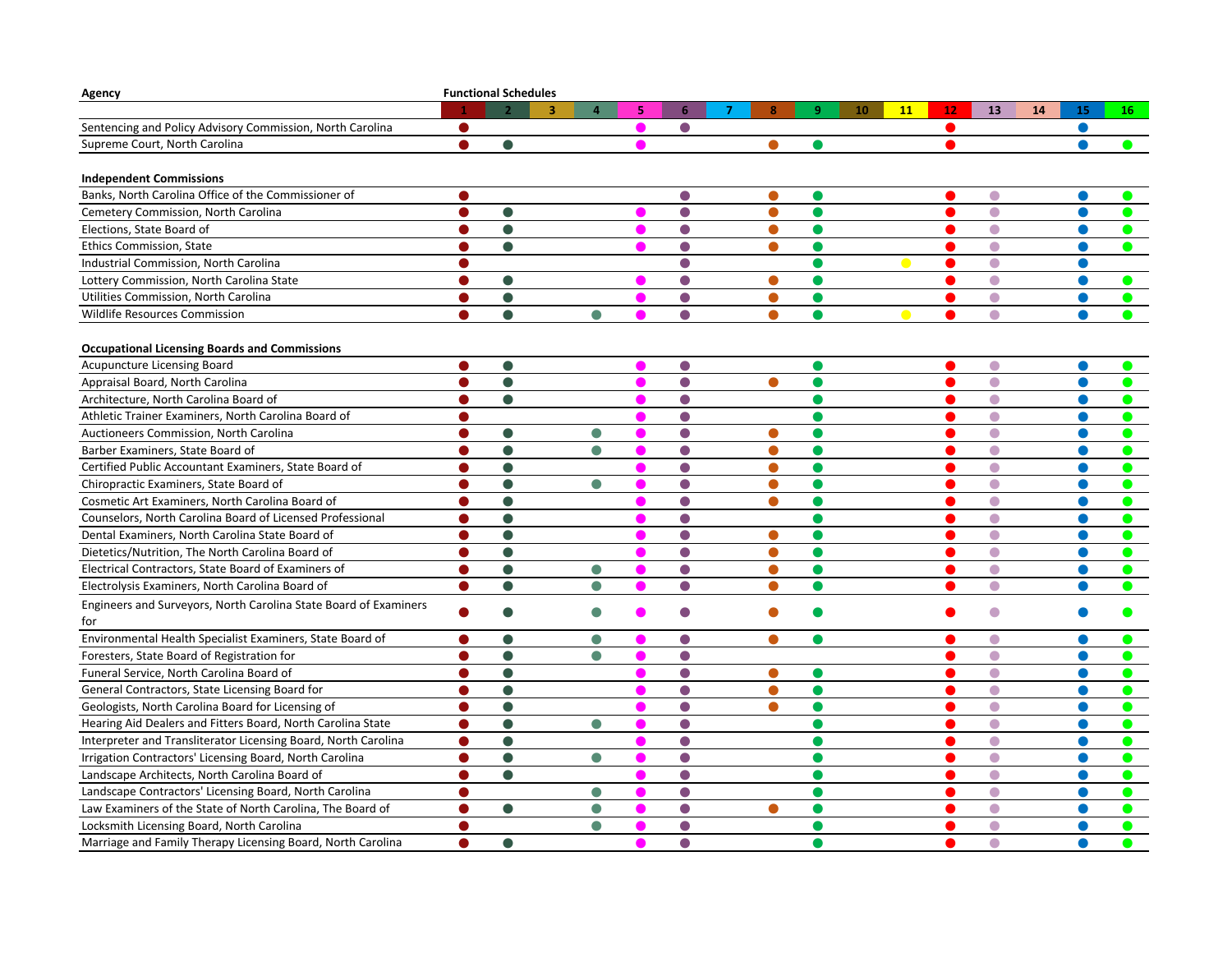| Agency                                                           |           | <b>Functional Schedules</b> |                |   |            |                     |           |                 |    |           |          |           |
|------------------------------------------------------------------|-----------|-----------------------------|----------------|---|------------|---------------------|-----------|-----------------|----|-----------|----------|-----------|
|                                                                  |           |                             | $\overline{4}$ | 5 | 6          | $\overline{7}$<br>8 | 9         | 10<br><b>11</b> | 12 | 13        | 14<br>15 | 16        |
| Sentencing and Policy Advisory Commission, North Carolina        |           |                             |                |   | $\bullet$  |                     |           |                 |    |           | ●        |           |
| Supreme Court, North Carolina                                    | Œ         |                             |                |   |            |                     |           |                 |    |           |          |           |
|                                                                  |           |                             |                |   |            |                     |           |                 |    |           |          |           |
| <b>Independent Commissions</b>                                   |           |                             |                |   |            |                     |           |                 |    |           |          |           |
| Banks, North Carolina Office of the Commissioner of              |           |                             |                |   |            |                     |           |                 |    | $\Box$    |          |           |
| Cemetery Commission, North Carolina                              |           | ●                           |                |   | $\bullet$  | ●                   |           |                 |    | $\bullet$ |          |           |
| Elections, State Board of                                        |           | $\bullet$                   |                |   | $\bigcirc$ |                     |           |                 |    | $\bullet$ |          |           |
| Ethics Commission, State                                         |           | $\bullet$                   |                |   | $\bigcirc$ | $\bullet$           | Q         |                 |    | $\bullet$ |          |           |
| Industrial Commission, North Carolina                            |           |                             |                |   | $\bigcirc$ |                     |           |                 |    | $\bullet$ |          |           |
| Lottery Commission, North Carolina State                         |           |                             |                |   | $\bullet$  |                     |           |                 |    | $\bullet$ |          |           |
| Utilities Commission, North Carolina                             | $\bullet$ | $\bullet$                   |                |   | $\bullet$  | $\bullet$           | O         |                 |    | $\bullet$ |          |           |
| <b>Wildlife Resources Commission</b>                             | O         | $\bullet$                   | $\bullet$      |   | $\bullet$  | $\bullet$           | O         |                 |    | $\bullet$ |          | ●         |
|                                                                  |           |                             |                |   |            |                     |           |                 |    |           |          |           |
| <b>Occupational Licensing Boards and Commissions</b>             |           |                             |                |   |            |                     |           |                 |    |           |          |           |
| <b>Acupuncture Licensing Board</b>                               |           |                             |                |   |            |                     |           |                 |    | $\bullet$ |          |           |
| Appraisal Board, North Carolina                                  |           |                             |                |   | $\bullet$  |                     |           |                 |    | $\bullet$ |          |           |
| Architecture, North Carolina Board of                            |           | $\bullet$                   |                |   | $\bullet$  |                     |           |                 |    | $\bullet$ |          |           |
| Athletic Trainer Examiners, North Carolina Board of              |           |                             |                |   | $\bullet$  |                     |           |                 |    | $\bullet$ |          |           |
| Auctioneers Commission, North Carolina                           |           | $\bullet$                   | $\bullet$      |   | $\bullet$  |                     |           |                 |    | $\bullet$ |          |           |
| Barber Examiners, State Board of                                 | œ         | $\bullet$                   | $\bullet$      |   | $\bullet$  | ●                   | Œ         |                 |    | $\bullet$ |          |           |
| Certified Public Accountant Examiners, State Board of            |           | $\bullet$                   |                |   | $\bullet$  |                     |           |                 |    | $\bullet$ |          |           |
| Chiropractic Examiners, State Board of                           | ●         | $\bullet$                   | ●              |   | $\bullet$  | $\bullet$           | e         |                 |    | $\bullet$ |          |           |
| Cosmetic Art Examiners, North Carolina Board of                  |           |                             |                |   | $\bigcirc$ |                     |           |                 |    | $\bullet$ |          |           |
| Counselors, North Carolina Board of Licensed Professional        |           |                             |                |   | $\bullet$  |                     |           |                 |    | $\bullet$ |          |           |
| Dental Examiners, North Carolina State Board of                  | Δ         | $\bullet$                   |                |   | $\bigcirc$ | ●                   |           |                 |    | $\bullet$ |          |           |
| Dietetics/Nutrition, The North Carolina Board of                 | Œ         | $\bullet$                   |                |   | $\bigcirc$ | $\bullet$           | Q         |                 |    | $\bullet$ |          |           |
| Electrical Contractors, State Board of Examiners of              | c         |                             |                |   | $\bullet$  |                     |           |                 |    | $\bullet$ |          |           |
| Electrolysis Examiners, North Carolina Board of                  | $\bullet$ | $\bullet$                   | $\bullet$      |   | $\bullet$  | $\bullet$           | A         |                 |    | $\bullet$ |          |           |
| Engineers and Surveyors, North Carolina State Board of Examiners | Δ         |                             |                |   |            |                     |           |                 |    | $\bullet$ |          |           |
| for                                                              |           |                             |                |   |            |                     |           |                 |    |           |          |           |
| Environmental Health Specialist Examiners, State Board of        | $\bullet$ | $\bullet$                   | $\bullet$      |   | $\bullet$  | $\bullet$           | $\bullet$ |                 |    | $\bullet$ |          |           |
| Foresters, State Board of Registration for                       | $\bullet$ | $\bullet$                   | $\bullet$      |   | $\bullet$  |                     |           |                 |    | $\bullet$ |          | $\bullet$ |
| Funeral Service, North Carolina Board of                         |           |                             |                |   | $\bullet$  |                     |           |                 |    | $\bullet$ |          |           |
| General Contractors, State Licensing Board for                   |           | $\bullet$                   |                |   | $\bigcirc$ | Δ                   |           |                 |    | $\bullet$ |          |           |
| Geologists, North Carolina Board for Licensing of                |           | ●                           |                |   | $\bullet$  |                     | Q         |                 |    | $\bullet$ |          |           |
| Hearing Aid Dealers and Fitters Board, North Carolina State      |           |                             | $\bullet$      |   | $\bullet$  |                     |           |                 |    | $\bullet$ |          |           |
| Interpreter and Transliterator Licensing Board, North Carolina   | O         | $\bullet$                   |                |   | $\bullet$  |                     |           |                 |    | $\bullet$ |          |           |
| Irrigation Contractors' Licensing Board, North Carolina          | O         | $\bullet$                   | e              |   | $\bullet$  |                     |           |                 |    | $\bullet$ |          |           |
| Landscape Architects, North Carolina Board of                    | $\bullet$ | $\bullet$                   |                |   | $\bullet$  |                     | Q         |                 |    | $\bullet$ |          | ●         |
| Landscape Contractors' Licensing Board, North Carolina           | $\bullet$ |                             | $\bullet$      |   | $\bullet$  |                     |           |                 |    | $\bullet$ |          |           |
| Law Examiners of the State of North Carolina, The Board of       | $\bullet$ | $\bullet$                   | $\bullet$      |   | $\bullet$  | $\bullet$           | O         |                 |    | $\bullet$ |          |           |
| Locksmith Licensing Board, North Carolina                        | $\bullet$ |                             | $\bullet$      |   | $\bullet$  |                     | O         |                 |    | $\bullet$ |          |           |
| Marriage and Family Therapy Licensing Board, North Carolina      | Δ         | $\bullet$                   |                |   | $\bullet$  |                     | ∙         |                 |    | $\bullet$ | A        | $\bullet$ |
|                                                                  |           |                             |                |   |            |                     |           |                 |    |           |          |           |